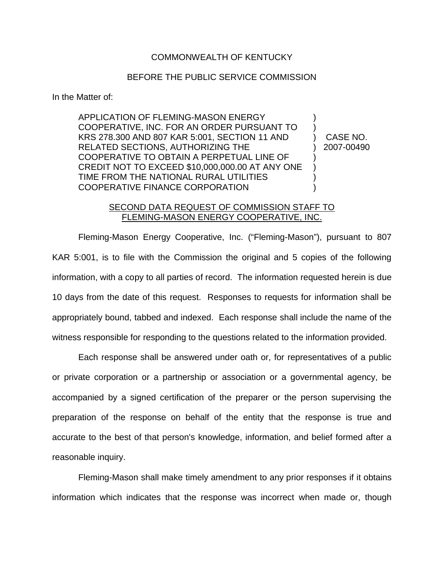## COMMONWEALTH OF KENTUCKY

## BEFORE THE PUBLIC SERVICE COMMISSION

In the Matter of:

APPLICATION OF FLEMING-MASON ENERGY ) COOPERATIVE, INC. FOR AN ORDER PURSUANT TO ) KRS 278.300 AND 807 KAR 5:001, SECTION 11 AND ) CASE NO. RELATED SECTIONS, AUTHORIZING THE  $\qquad \qquad$  2007-00490 COOPERATIVE TO OBTAIN A PERPETUAL LINE OF ) CREDIT NOT TO EXCEED \$10,000,000.00 AT ANY ONE ) TIME FROM THE NATIONAL RURAL UTILITIES ) COOPERATIVE FINANCE CORPORATION

## SECOND DATA REQUEST OF COMMISSION STAFF TO FLEMING-MASON ENERGY COOPERATIVE, INC.

Fleming-Mason Energy Cooperative, Inc. ("Fleming-Mason"), pursuant to 807 KAR 5:001, is to file with the Commission the original and 5 copies of the following information, with a copy to all parties of record. The information requested herein is due 10 days from the date of this request. Responses to requests for information shall be appropriately bound, tabbed and indexed. Each response shall include the name of the witness responsible for responding to the questions related to the information provided.

Each response shall be answered under oath or, for representatives of a public or private corporation or a partnership or association or a governmental agency, be accompanied by a signed certification of the preparer or the person supervising the preparation of the response on behalf of the entity that the response is true and accurate to the best of that person's knowledge, information, and belief formed after a reasonable inquiry.

Fleming-Mason shall make timely amendment to any prior responses if it obtains information which indicates that the response was incorrect when made or, though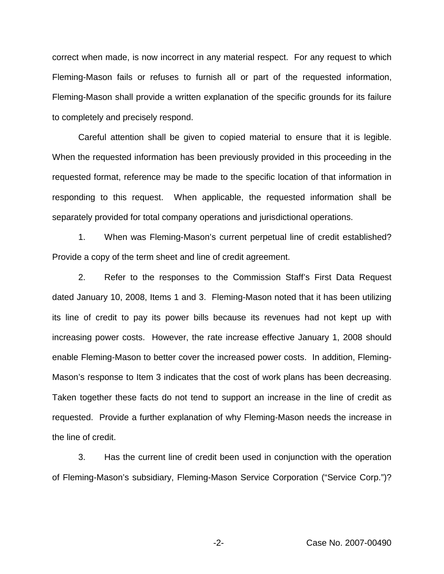correct when made, is now incorrect in any material respect. For any request to which Fleming-Mason fails or refuses to furnish all or part of the requested information, Fleming-Mason shall provide a written explanation of the specific grounds for its failure to completely and precisely respond.

Careful attention shall be given to copied material to ensure that it is legible. When the requested information has been previously provided in this proceeding in the requested format, reference may be made to the specific location of that information in responding to this request. When applicable, the requested information shall be separately provided for total company operations and jurisdictional operations.

1. When was Fleming-Mason's current perpetual line of credit established? Provide a copy of the term sheet and line of credit agreement.

2. Refer to the responses to the Commission Staff's First Data Request dated January 10, 2008, Items 1 and 3. Fleming-Mason noted that it has been utilizing its line of credit to pay its power bills because its revenues had not kept up with increasing power costs. However, the rate increase effective January 1, 2008 should enable Fleming-Mason to better cover the increased power costs. In addition, Fleming-Mason's response to Item 3 indicates that the cost of work plans has been decreasing. Taken together these facts do not tend to support an increase in the line of credit as requested. Provide a further explanation of why Fleming-Mason needs the increase in the line of credit.

3. Has the current line of credit been used in conjunction with the operation of Fleming-Mason's subsidiary, Fleming-Mason Service Corporation ("Service Corp.")?